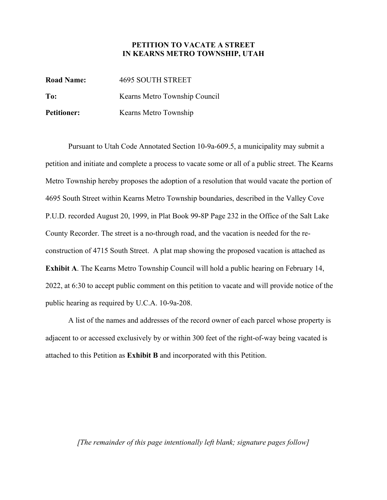## **PETITION TO VACATE A STREET IN KEARNS METRO TOWNSHIP, UTAH**

**Road Name:** 4695 SOUTH STREET **To:** Kearns Metro Township Council Petitioner: **Kearns Metro Township** 

Pursuant to Utah Code Annotated Section 10-9a-609.5, a municipality may submit a petition and initiate and complete a process to vacate some or all of a public street. The Kearns Metro Township hereby proposes the adoption of a resolution that would vacate the portion of 4695 South Street within Kearns Metro Township boundaries, described in the Valley Cove P.U.D. recorded August 20, 1999, in Plat Book 99-8P Page 232 in the Office of the Salt Lake County Recorder. The street is a no-through road, and the vacation is needed for the reconstruction of 4715 South Street. A plat map showing the proposed vacation is attached as **Exhibit A**. The Kearns Metro Township Council will hold a public hearing on February 14, 2022, at 6:30 to accept public comment on this petition to vacate and will provide notice of the public hearing as required by U.C.A. 10-9a-208.

A list of the names and addresses of the record owner of each parcel whose property is adjacent to or accessed exclusively by or within 300 feet of the right-of-way being vacated is attached to this Petition as **Exhibit B** and incorporated with this Petition.

## *[The remainder of this page intentionally left blank; signature pages follow]*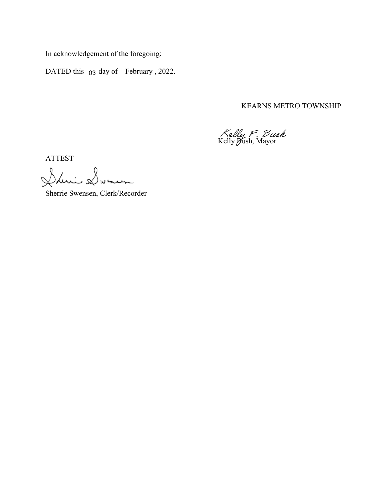In acknowledgement of the foregoing:

DATED this  $\alpha_3$  day of February, 2022.

KEARNS METRO TOWNSHIP

 $Kellu \in \mathcal{B}uah$ Kelly **Bush**, Mayor

ATTEST

Shiri Dunin

Sherrie Swensen, Clerk/Recorder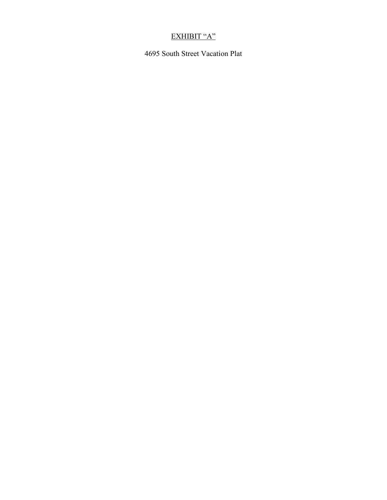## EXHIBIT "A"

4695 South Street Vacation Plat